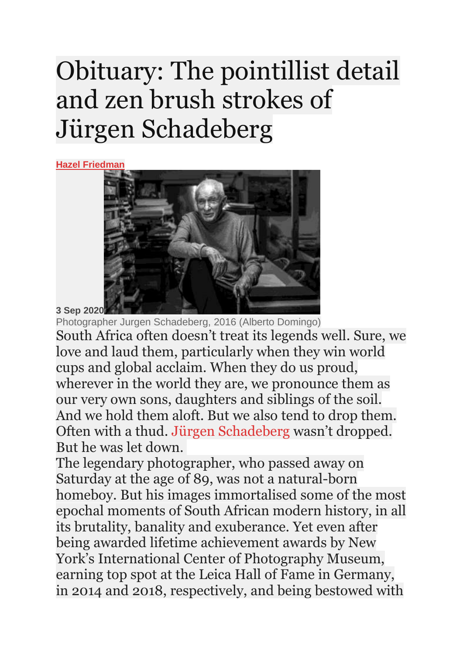## Obituary: The pointillist detail and zen brush strokes of Jürgen Schadeberg

**Hazel [Friedman](https://mg.co.za/author/hazel-friedman/)**



**3 Sep 2020**

Photographer Jurgen Schadeberg, 2016 (Alberto Domingo) South Africa often doesn't treat its legends well. Sure, we love and laud them, particularly when they win world cups and global acclaim. When they do us proud, wherever in the world they are, we pronounce them as our very own sons, daughters and siblings of the soil. And we hold them aloft. But we also tend to drop them. Often with a thud. Jürgen [Schadeberg](https://mg.co.za/tag/jurgen-schadeberg/) wasn't dropped. But he was let down.

The legendary photographer, who passed away on Saturday at the age of 89, was not a natural-born homeboy. But his images immortalised some of the most epochal moments of South African modern history, in all its brutality, banality and exuberance. Yet even after being awarded lifetime achievement awards by New York's International Center of Photography Museum, earning top spot at the Leica Hall of Fame in Germany, in 2014 and 2018, respectively, and being bestowed with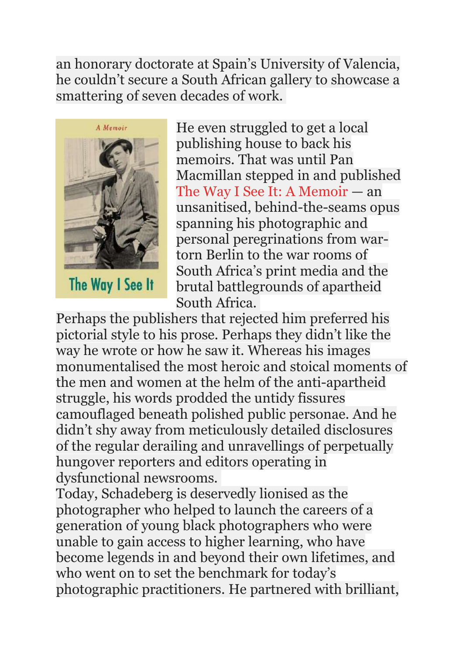an honorary doctorate at Spain's University of Valencia, he couldn't secure a South African gallery to showcase a smattering of seven decades of work.



The Way I See It

He even struggled to get a local publishing house to back his memoirs. That was until Pan Macmillan stepped in and published The Way I See It: A [Memoir](https://mg.co.za/article/2017-10-27-00-casting-history-to-his-own-drum-beat/) — an unsanitised, behind-the-seams opus spanning his photographic and personal peregrinations from wartorn Berlin to the war rooms of South Africa's print media and the brutal battlegrounds of apartheid South Africa.

Perhaps the publishers that rejected him preferred his pictorial style to his prose. Perhaps they didn't like the way he wrote or how he saw it. Whereas his images monumentalised the most heroic and stoical moments of the men and women at the helm of the anti-apartheid struggle, his words prodded the untidy fissures camouflaged beneath polished public personae. And he didn't shy away from meticulously detailed disclosures of the regular derailing and unravellings of perpetually hungover reporters and editors operating in dysfunctional newsrooms.

Today, Schadeberg is deservedly lionised as the photographer who helped to launch the careers of a generation of young black photographers who were unable to gain access to higher learning, who have become legends in and beyond their own lifetimes, and who went on to set the benchmark for today's photographic practitioners. He partnered with brilliant,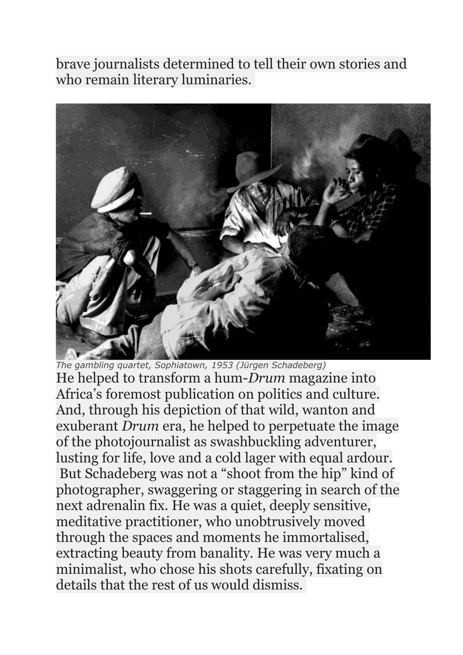brave journalists determined to tell their own stories and who remain literary luminaries.



*The gambling quartet, Sophiatown, 1953 (Jürgen Schadeberg)* He helped to transform a hum-*Drum* magazine into Africa's foremost publication on politics and culture. And, through his depiction of that wild, wanton and exuberant *Drum* era, he helped to perpetuate the image of the photojournalist as swashbuckling adventurer, lusting for life, love and a cold lager with equal ardour. But Schadeberg was not a "shoot from the hip" kind of photographer, swaggering or staggering in search of the next adrenalin fix. He was a quiet, deeply sensitive, meditative practitioner, who unobtrusively moved through the spaces and moments he immortalised, extracting beauty from banality. He was very much a minimalist, who chose his shots carefully, fixating on details that the rest of us would dismiss.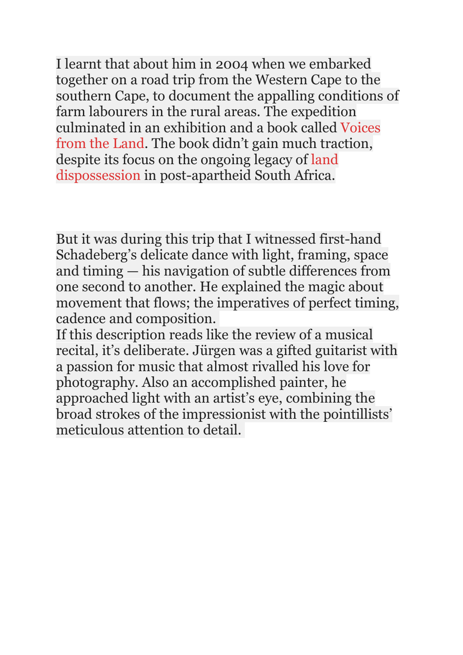I learnt that about him in 2004 when we embarked together on a road trip from the Western Cape to the southern Cape, to document the appalling conditions of farm labourers in the rural areas. The expedition culminated in an exhibition and a book called [Voices](https://mg.co.za/article/2005-08-10-voices-from-the-land/) from the [Land.](https://mg.co.za/article/2005-08-10-voices-from-the-land/) The book didn't gain much traction, despite its focus on the ongoing legacy of [land](https://mg.co.za/tag/land/) [dispossession](https://mg.co.za/tag/land/) in post-apartheid South Africa.

But it was during this trip that I witnessed first-hand Schadeberg's delicate dance with light, framing, space and timing — his navigation of subtle differences from one second to another. He explained the magic about movement that flows; the imperatives of perfect timing, cadence and composition.

If this description reads like the review of a musical recital, it's deliberate. Jürgen was a gifted guitarist with a passion for music that almost rivalled his love for photography. Also an accomplished painter, he approached light with an artist's eye, combining the broad strokes of the impressionist with the pointillists' meticulous attention to detail.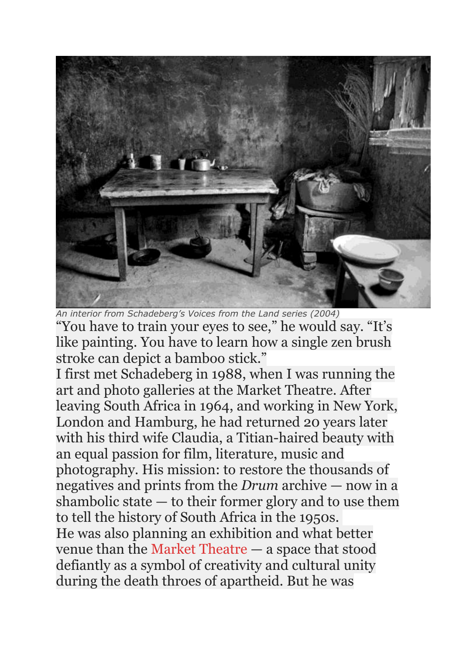

*An interior from Schadeberg's Voices from the Land series (2004)* "You have to train your eyes to see," he would say. "It's like painting. You have to learn how a single zen brush stroke can depict a bamboo stick."

I first met Schadeberg in 1988, when I was running the art and photo galleries at the Market Theatre. After leaving South Africa in 1964, and working in New York, London and Hamburg, he had returned 20 years later with his third wife Claudia, a Titian-haired beauty with an equal passion for film, literature, music and photography. His mission: to restore the thousands of negatives and prints from the *Drum* archive — now in a shambolic state — to their former glory and to use them to tell the history of South Africa in the 1950s. He was also planning an exhibition and what better venue than the Market [Theatre](https://mg.co.za/tag/market-theatre/) — a space that stood defiantly as a symbol of creativity and cultural unity during the death throes of apartheid. But he was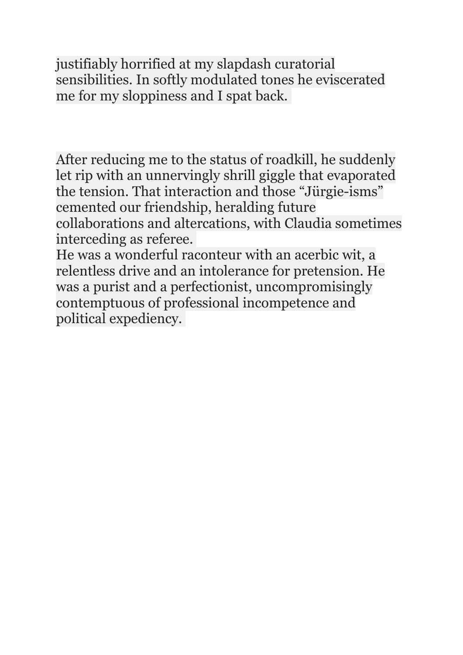justifiably horrified at my slapdash curatorial sensibilities. In softly modulated tones he eviscerated me for my sloppiness and I spat back.

After reducing me to the status of roadkill, he suddenly let rip with an unnervingly shrill giggle that evaporated the tension. That interaction and those "Jürgie-isms" cemented our friendship, heralding future collaborations and altercations, with Claudia sometimes interceding as referee.

He was a wonderful raconteur with an acerbic wit, a relentless drive and an intolerance for pretension. He was a purist and a perfectionist, uncompromisingly contemptuous of professional incompetence and political expediency.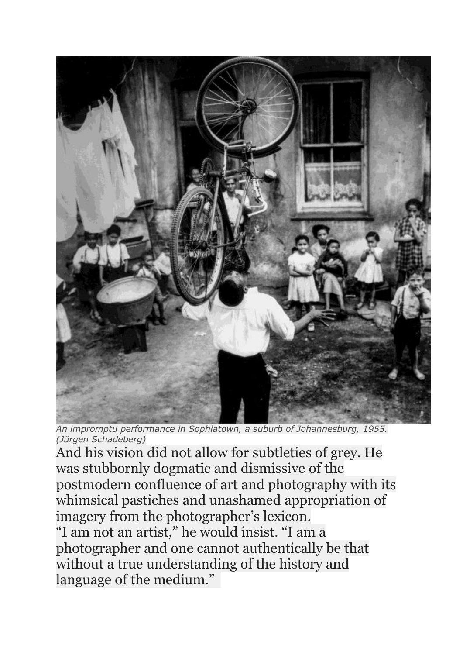

*An impromptu performance in Sophiatown, a suburb of Johannesburg, 1955. (Jürgen Schadeberg)*

And his vision did not allow for subtleties of grey. He was stubbornly dogmatic and dismissive of the postmodern confluence of art and photography with its whimsical pastiches and unashamed appropriation of imagery from the photographer's lexicon. "I am not an artist," he would insist. "I am a photographer and one cannot authentically be that without a true understanding of the history and language of the medium."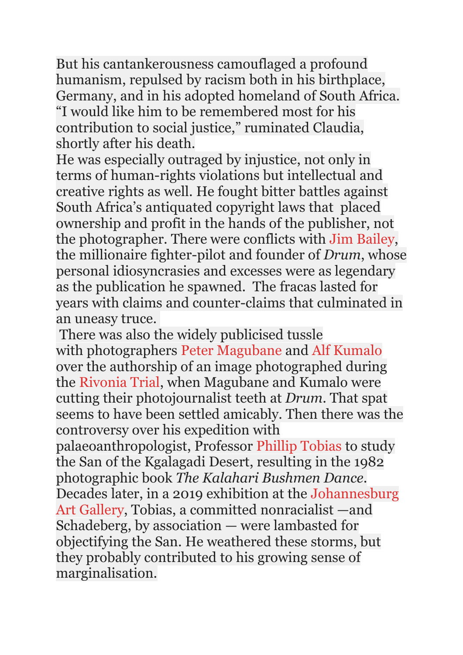But his cantankerousness camouflaged a profound humanism, repulsed by racism both in his birthplace, Germany, and in his adopted homeland of South Africa. "I would like him to be remembered most for his contribution to social justice," ruminated Claudia, shortly after his death.

He was especially outraged by injustice, not only in terms of human-rights violations but intellectual and creative rights as well. He fought bitter battles against South Africa's antiquated copyright laws that placed ownership and profit in the hands of the publisher, not the photographer. There were conflicts with Jim [Bailey,](https://www.sahistory.org.za/people/jim-bailey) the millionaire fighter-pilot and founder of *Drum*, whose personal idiosyncrasies and excesses were as legendary as the publication he spawned. The fracas lasted for years with claims and counter-claims that culminated in an uneasy truce.

There was also the widely publicised tussle with photographers Peter [Magubane](https://mg.co.za/tag/peter-magubane/) and Alf [Kumalo](https://mg.co.za/tag/alf-kumalo/) over the authorship of an image photographed during the [Rivonia](https://mg.co.za/tag/rivonia-trial/) Trial, when Magubane and Kumalo were cutting their photojournalist teeth at *Drum*. That spat seems to have been settled amicably. Then there was the controversy over his expedition with palaeoanthropologist, Professor Phillip [Tobias](https://mg.co.za/tag/phillip-tobias/) to study the San of the Kgalagadi Desert, resulting in the 1982 photographic book *The Kalahari Bushmen Dance*. Decades later, in a 2019 exhibition at the [Johannesburg](https://mg.co.za/tag/johannesburg-art-gallery/) Art [Gallery,](https://mg.co.za/tag/johannesburg-art-gallery/) Tobias, a committed nonracialist —and Schadeberg, by association — were lambasted for objectifying the San. He weathered these storms, but they probably contributed to his growing sense of marginalisation.